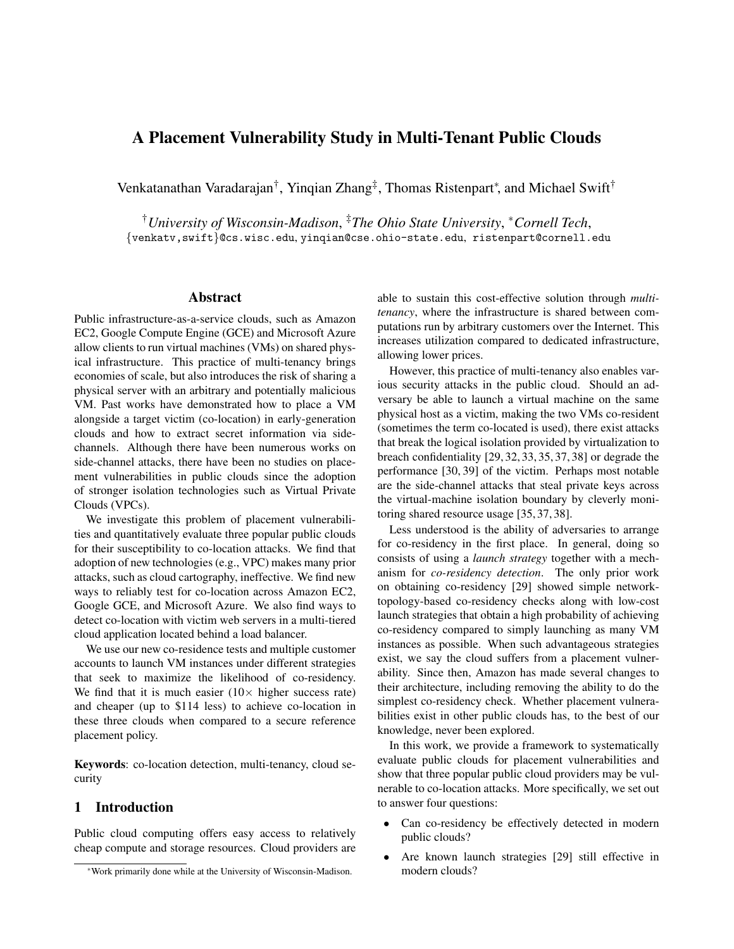# A Placement Vulnerability Study in Multi-Tenant Public Clouds

Venkatanathan Varadarajan<sup>†</sup>, Yinqian Zhang<sup>‡</sup>, Thomas Ristenpart<sup>∗</sup>, and Michael Swift<sup>†</sup>

†*University of Wisconsin-Madison*, ‡*The Ohio State University*, <sup>∗</sup>*Cornell Tech*, {venkatv,swift}@cs.wisc.edu, yinqian@cse.ohio-state.edu, ristenpart@cornell.edu

#### Abstract

Public infrastructure-as-a-service clouds, such as Amazon EC2, Google Compute Engine (GCE) and Microsoft Azure allow clients to run virtual machines (VMs) on shared physical infrastructure. This practice of multi-tenancy brings economies of scale, but also introduces the risk of sharing a physical server with an arbitrary and potentially malicious VM. Past works have demonstrated how to place a VM alongside a target victim (co-location) in early-generation clouds and how to extract secret information via sidechannels. Although there have been numerous works on side-channel attacks, there have been no studies on placement vulnerabilities in public clouds since the adoption of stronger isolation technologies such as Virtual Private Clouds (VPCs).

We investigate this problem of placement vulnerabilities and quantitatively evaluate three popular public clouds for their susceptibility to co-location attacks. We find that adoption of new technologies (e.g., VPC) makes many prior attacks, such as cloud cartography, ineffective. We find new ways to reliably test for co-location across Amazon EC2, Google GCE, and Microsoft Azure. We also find ways to detect co-location with victim web servers in a multi-tiered cloud application located behind a load balancer.

We use our new co-residence tests and multiple customer accounts to launch VM instances under different strategies that seek to maximize the likelihood of co-residency. We find that it is much easier  $(10 \times$  higher success rate) and cheaper (up to \$114 less) to achieve co-location in these three clouds when compared to a secure reference placement policy.

Keywords: co-location detection, multi-tenancy, cloud security

## 1 Introduction

Public cloud computing offers easy access to relatively cheap compute and storage resources. Cloud providers are able to sustain this cost-effective solution through *multitenancy*, where the infrastructure is shared between computations run by arbitrary customers over the Internet. This increases utilization compared to dedicated infrastructure, allowing lower prices.

However, this practice of multi-tenancy also enables various security attacks in the public cloud. Should an adversary be able to launch a virtual machine on the same physical host as a victim, making the two VMs co-resident (sometimes the term co-located is used), there exist attacks that break the logical isolation provided by virtualization to breach confidentiality [29, 32, 33, 35, 37, 38] or degrade the performance [30, 39] of the victim. Perhaps most notable are the side-channel attacks that steal private keys across the virtual-machine isolation boundary by cleverly monitoring shared resource usage [35, 37, 38].

Less understood is the ability of adversaries to arrange for co-residency in the first place. In general, doing so consists of using a *launch strategy* together with a mechanism for *co-residency detection*. The only prior work on obtaining co-residency [29] showed simple networktopology-based co-residency checks along with low-cost launch strategies that obtain a high probability of achieving co-residency compared to simply launching as many VM instances as possible. When such advantageous strategies exist, we say the cloud suffers from a placement vulnerability. Since then, Amazon has made several changes to their architecture, including removing the ability to do the simplest co-residency check. Whether placement vulnerabilities exist in other public clouds has, to the best of our knowledge, never been explored.

In this work, we provide a framework to systematically evaluate public clouds for placement vulnerabilities and show that three popular public cloud providers may be vulnerable to co-location attacks. More specifically, we set out to answer four questions:

- Can co-residency be effectively detected in modern public clouds?
- Are known launch strategies [29] still effective in modern clouds?

<sup>∗</sup>Work primarily done while at the University of Wisconsin-Madison.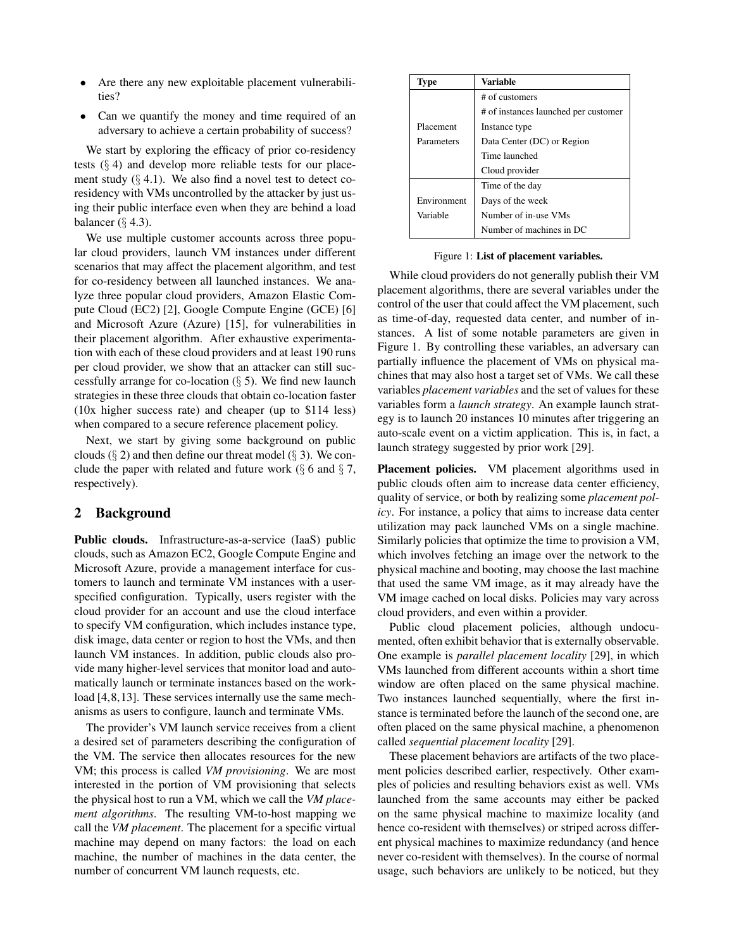- Are there any new exploitable placement vulnerabilities?
- Can we quantify the money and time required of an adversary to achieve a certain probability of success?

We start by exploring the efficacy of prior co-residency tests  $(\S 4)$  and develop more reliable tests for our placement study  $(\S 4.1)$ . We also find a novel test to detect coresidency with VMs uncontrolled by the attacker by just using their public interface even when they are behind a load balancer  $(\S$  4.3).

We use multiple customer accounts across three popular cloud providers, launch VM instances under different scenarios that may affect the placement algorithm, and test for co-residency between all launched instances. We analyze three popular cloud providers, Amazon Elastic Compute Cloud (EC2) [2], Google Compute Engine (GCE) [6] and Microsoft Azure (Azure) [15], for vulnerabilities in their placement algorithm. After exhaustive experimentation with each of these cloud providers and at least 190 runs per cloud provider, we show that an attacker can still successfully arrange for co-location  $(\S 5)$ . We find new launch strategies in these three clouds that obtain co-location faster (10x higher success rate) and cheaper (up to \$114 less) when compared to a secure reference placement policy.

Next, we start by giving some background on public clouds  $(\S 2)$  and then define our threat model  $(\S 3)$ . We conclude the paper with related and future work  $(\S$  6 and  $\S$  7, respectively).

#### 2 Background

Public clouds. Infrastructure-as-a-service (IaaS) public clouds, such as Amazon EC2, Google Compute Engine and Microsoft Azure, provide a management interface for customers to launch and terminate VM instances with a userspecified configuration. Typically, users register with the cloud provider for an account and use the cloud interface to specify VM configuration, which includes instance type, disk image, data center or region to host the VMs, and then launch VM instances. In addition, public clouds also provide many higher-level services that monitor load and automatically launch or terminate instances based on the workload [4, 8, 13]. These services internally use the same mechanisms as users to configure, launch and terminate VMs.

The provider's VM launch service receives from a client a desired set of parameters describing the configuration of the VM. The service then allocates resources for the new VM; this process is called *VM provisioning*. We are most interested in the portion of VM provisioning that selects the physical host to run a VM, which we call the *VM placement algorithms*. The resulting VM-to-host mapping we call the *VM placement*. The placement for a specific virtual machine may depend on many factors: the load on each machine, the number of machines in the data center, the number of concurrent VM launch requests, etc.

| Type        | Variable                             |  |  |
|-------------|--------------------------------------|--|--|
|             | # of customers                       |  |  |
|             | # of instances launched per customer |  |  |
| Placement   | Instance type                        |  |  |
| Parameters  | Data Center (DC) or Region           |  |  |
|             | Time launched                        |  |  |
|             | Cloud provider                       |  |  |
|             | Time of the day                      |  |  |
| Environment | Days of the week                     |  |  |
| Variable    | Number of in-use VMs                 |  |  |
|             | Number of machines in DC             |  |  |

Figure 1: List of placement variables.

While cloud providers do not generally publish their VM placement algorithms, there are several variables under the control of the user that could affect the VM placement, such as time-of-day, requested data center, and number of instances. A list of some notable parameters are given in Figure 1. By controlling these variables, an adversary can partially influence the placement of VMs on physical machines that may also host a target set of VMs. We call these variables *placement variables* and the set of values for these variables form a *launch strategy*. An example launch strategy is to launch 20 instances 10 minutes after triggering an auto-scale event on a victim application. This is, in fact, a launch strategy suggested by prior work [29].

Placement policies. VM placement algorithms used in public clouds often aim to increase data center efficiency, quality of service, or both by realizing some *placement policy*. For instance, a policy that aims to increase data center utilization may pack launched VMs on a single machine. Similarly policies that optimize the time to provision a VM, which involves fetching an image over the network to the physical machine and booting, may choose the last machine that used the same VM image, as it may already have the VM image cached on local disks. Policies may vary across cloud providers, and even within a provider.

Public cloud placement policies, although undocumented, often exhibit behavior that is externally observable. One example is *parallel placement locality* [29], in which VMs launched from different accounts within a short time window are often placed on the same physical machine. Two instances launched sequentially, where the first instance is terminated before the launch of the second one, are often placed on the same physical machine, a phenomenon called *sequential placement locality* [29].

These placement behaviors are artifacts of the two placement policies described earlier, respectively. Other examples of policies and resulting behaviors exist as well. VMs launched from the same accounts may either be packed on the same physical machine to maximize locality (and hence co-resident with themselves) or striped across different physical machines to maximize redundancy (and hence never co-resident with themselves). In the course of normal usage, such behaviors are unlikely to be noticed, but they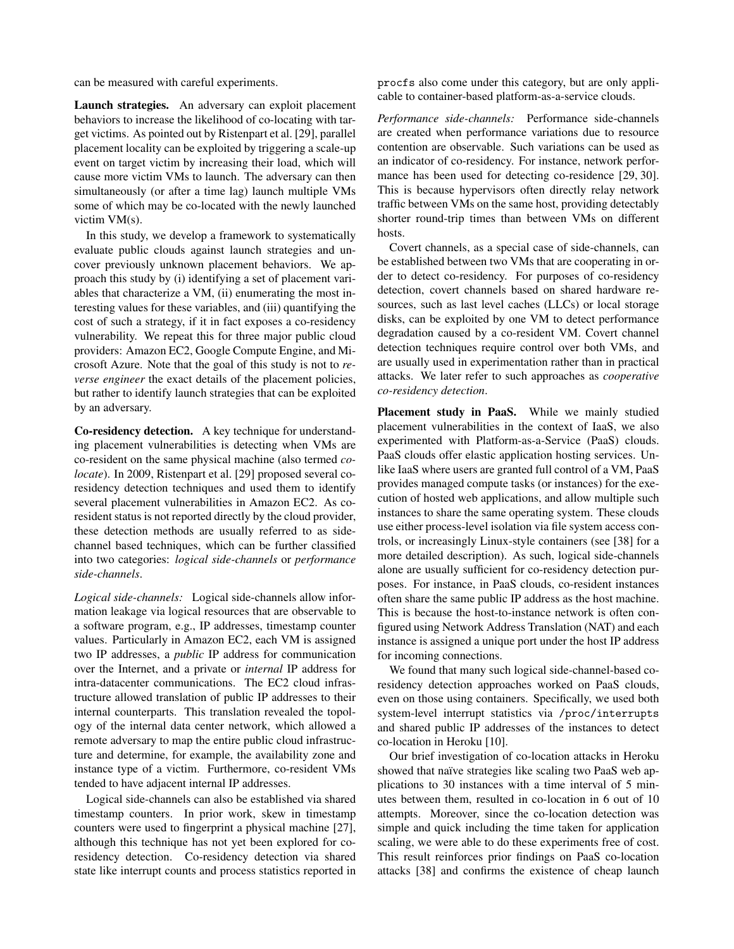can be measured with careful experiments.

Launch strategies. An adversary can exploit placement behaviors to increase the likelihood of co-locating with target victims. As pointed out by Ristenpart et al. [29], parallel placement locality can be exploited by triggering a scale-up event on target victim by increasing their load, which will cause more victim VMs to launch. The adversary can then simultaneously (or after a time lag) launch multiple VMs some of which may be co-located with the newly launched victim VM(s).

In this study, we develop a framework to systematically evaluate public clouds against launch strategies and uncover previously unknown placement behaviors. We approach this study by (i) identifying a set of placement variables that characterize a VM, (ii) enumerating the most interesting values for these variables, and (iii) quantifying the cost of such a strategy, if it in fact exposes a co-residency vulnerability. We repeat this for three major public cloud providers: Amazon EC2, Google Compute Engine, and Microsoft Azure. Note that the goal of this study is not to *reverse engineer* the exact details of the placement policies, but rather to identify launch strategies that can be exploited by an adversary.

Co-residency detection. A key technique for understanding placement vulnerabilities is detecting when VMs are co-resident on the same physical machine (also termed *colocate*). In 2009, Ristenpart et al. [29] proposed several coresidency detection techniques and used them to identify several placement vulnerabilities in Amazon EC2. As coresident status is not reported directly by the cloud provider, these detection methods are usually referred to as sidechannel based techniques, which can be further classified into two categories: *logical side-channels* or *performance side-channels*.

*Logical side-channels:* Logical side-channels allow information leakage via logical resources that are observable to a software program, e.g., IP addresses, timestamp counter values. Particularly in Amazon EC2, each VM is assigned two IP addresses, a *public* IP address for communication over the Internet, and a private or *internal* IP address for intra-datacenter communications. The EC2 cloud infrastructure allowed translation of public IP addresses to their internal counterparts. This translation revealed the topology of the internal data center network, which allowed a remote adversary to map the entire public cloud infrastructure and determine, for example, the availability zone and instance type of a victim. Furthermore, co-resident VMs tended to have adjacent internal IP addresses.

Logical side-channels can also be established via shared timestamp counters. In prior work, skew in timestamp counters were used to fingerprint a physical machine [27], although this technique has not yet been explored for coresidency detection. Co-residency detection via shared state like interrupt counts and process statistics reported in procfs also come under this category, but are only applicable to container-based platform-as-a-service clouds.

*Performance side-channels:* Performance side-channels are created when performance variations due to resource contention are observable. Such variations can be used as an indicator of co-residency. For instance, network performance has been used for detecting co-residence [29, 30]. This is because hypervisors often directly relay network traffic between VMs on the same host, providing detectably shorter round-trip times than between VMs on different hosts.

Covert channels, as a special case of side-channels, can be established between two VMs that are cooperating in order to detect co-residency. For purposes of co-residency detection, covert channels based on shared hardware resources, such as last level caches (LLCs) or local storage disks, can be exploited by one VM to detect performance degradation caused by a co-resident VM. Covert channel detection techniques require control over both VMs, and are usually used in experimentation rather than in practical attacks. We later refer to such approaches as *cooperative co-residency detection*.

Placement study in PaaS. While we mainly studied placement vulnerabilities in the context of IaaS, we also experimented with Platform-as-a-Service (PaaS) clouds. PaaS clouds offer elastic application hosting services. Unlike IaaS where users are granted full control of a VM, PaaS provides managed compute tasks (or instances) for the execution of hosted web applications, and allow multiple such instances to share the same operating system. These clouds use either process-level isolation via file system access controls, or increasingly Linux-style containers (see [38] for a more detailed description). As such, logical side-channels alone are usually sufficient for co-residency detection purposes. For instance, in PaaS clouds, co-resident instances often share the same public IP address as the host machine. This is because the host-to-instance network is often configured using Network Address Translation (NAT) and each instance is assigned a unique port under the host IP address for incoming connections.

We found that many such logical side-channel-based coresidency detection approaches worked on PaaS clouds, even on those using containers. Specifically, we used both system-level interrupt statistics via /proc/interrupts and shared public IP addresses of the instances to detect co-location in Heroku [10].

Our brief investigation of co-location attacks in Heroku showed that naïve strategies like scaling two PaaS web applications to 30 instances with a time interval of 5 minutes between them, resulted in co-location in 6 out of 10 attempts. Moreover, since the co-location detection was simple and quick including the time taken for application scaling, we were able to do these experiments free of cost. This result reinforces prior findings on PaaS co-location attacks [38] and confirms the existence of cheap launch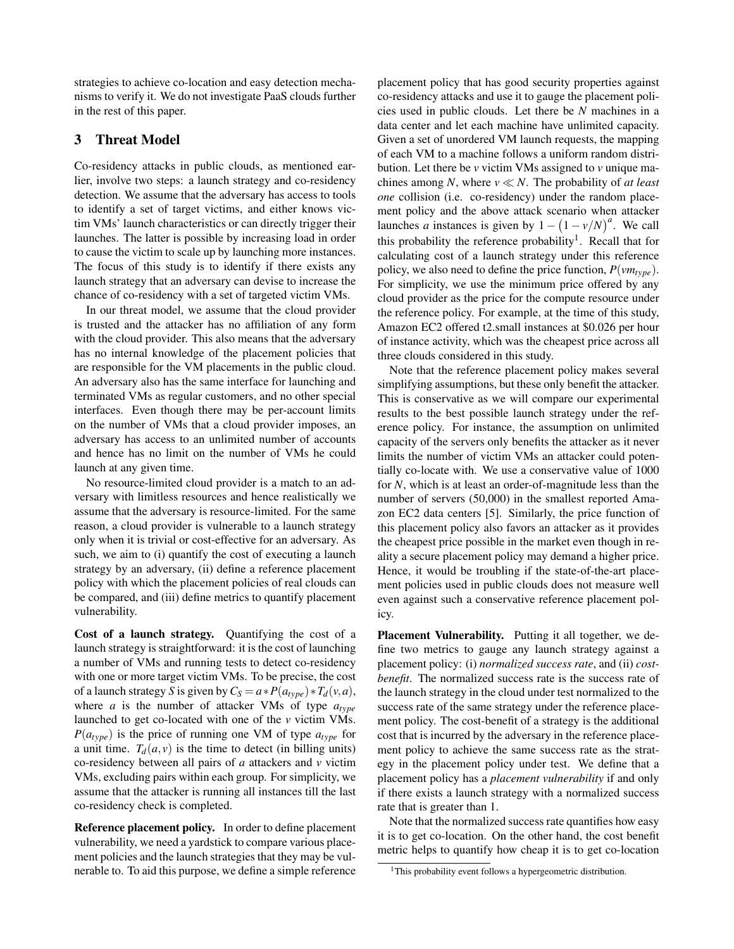strategies to achieve co-location and easy detection mechanisms to verify it. We do not investigate PaaS clouds further in the rest of this paper.

## 3 Threat Model

Co-residency attacks in public clouds, as mentioned earlier, involve two steps: a launch strategy and co-residency detection. We assume that the adversary has access to tools to identify a set of target victims, and either knows victim VMs' launch characteristics or can directly trigger their launches. The latter is possible by increasing load in order to cause the victim to scale up by launching more instances. The focus of this study is to identify if there exists any launch strategy that an adversary can devise to increase the chance of co-residency with a set of targeted victim VMs.

In our threat model, we assume that the cloud provider is trusted and the attacker has no affiliation of any form with the cloud provider. This also means that the adversary has no internal knowledge of the placement policies that are responsible for the VM placements in the public cloud. An adversary also has the same interface for launching and terminated VMs as regular customers, and no other special interfaces. Even though there may be per-account limits on the number of VMs that a cloud provider imposes, an adversary has access to an unlimited number of accounts and hence has no limit on the number of VMs he could launch at any given time.

No resource-limited cloud provider is a match to an adversary with limitless resources and hence realistically we assume that the adversary is resource-limited. For the same reason, a cloud provider is vulnerable to a launch strategy only when it is trivial or cost-effective for an adversary. As such, we aim to (i) quantify the cost of executing a launch strategy by an adversary, (ii) define a reference placement policy with which the placement policies of real clouds can be compared, and (iii) define metrics to quantify placement vulnerability.

Cost of a launch strategy. Quantifying the cost of a launch strategy is straightforward: it is the cost of launching a number of VMs and running tests to detect co-residency with one or more target victim VMs. To be precise, the cost of a launch strategy *S* is given by  $C_S = a * P(a_{type}) * T_d(v, a)$ , where *a* is the number of attacker VMs of type *atype* launched to get co-located with one of the *v* victim VMs.  $P(a_{type})$  is the price of running one VM of type  $a_{type}$  for a unit time.  $T_d(a, v)$  is the time to detect (in billing units) co-residency between all pairs of *a* attackers and *v* victim VMs, excluding pairs within each group. For simplicity, we assume that the attacker is running all instances till the last co-residency check is completed.

Reference placement policy. In order to define placement vulnerability, we need a yardstick to compare various placement policies and the launch strategies that they may be vulnerable to. To aid this purpose, we define a simple reference placement policy that has good security properties against co-residency attacks and use it to gauge the placement policies used in public clouds. Let there be *N* machines in a data center and let each machine have unlimited capacity. Given a set of unordered VM launch requests, the mapping of each VM to a machine follows a uniform random distribution. Let there be *v* victim VMs assigned to *v* unique machines among *N*, where  $v \ll N$ . The probability of *at least one* collision (i.e. co-residency) under the random placement policy and the above attack scenario when attacker launches *a* instances is given by  $1 - (1 - v/N)^a$ . We call this probability the reference probability<sup>1</sup>. Recall that for calculating cost of a launch strategy under this reference policy, we also need to define the price function, *P*(*vmtype*). For simplicity, we use the minimum price offered by any cloud provider as the price for the compute resource under the reference policy. For example, at the time of this study, Amazon EC2 offered t2.small instances at \$0.026 per hour of instance activity, which was the cheapest price across all three clouds considered in this study.

Note that the reference placement policy makes several simplifying assumptions, but these only benefit the attacker. This is conservative as we will compare our experimental results to the best possible launch strategy under the reference policy. For instance, the assumption on unlimited capacity of the servers only benefits the attacker as it never limits the number of victim VMs an attacker could potentially co-locate with. We use a conservative value of 1000 for *N*, which is at least an order-of-magnitude less than the number of servers (50,000) in the smallest reported Amazon EC2 data centers [5]. Similarly, the price function of this placement policy also favors an attacker as it provides the cheapest price possible in the market even though in reality a secure placement policy may demand a higher price. Hence, it would be troubling if the state-of-the-art placement policies used in public clouds does not measure well even against such a conservative reference placement policy.

Placement Vulnerability. Putting it all together, we define two metrics to gauge any launch strategy against a placement policy: (i) *normalized success rate*, and (ii) *costbenefit*. The normalized success rate is the success rate of the launch strategy in the cloud under test normalized to the success rate of the same strategy under the reference placement policy. The cost-benefit of a strategy is the additional cost that is incurred by the adversary in the reference placement policy to achieve the same success rate as the strategy in the placement policy under test. We define that a placement policy has a *placement vulnerability* if and only if there exists a launch strategy with a normalized success rate that is greater than 1.

Note that the normalized success rate quantifies how easy it is to get co-location. On the other hand, the cost benefit metric helps to quantify how cheap it is to get co-location

<sup>&</sup>lt;sup>1</sup>This probability event follows a hypergeometric distribution.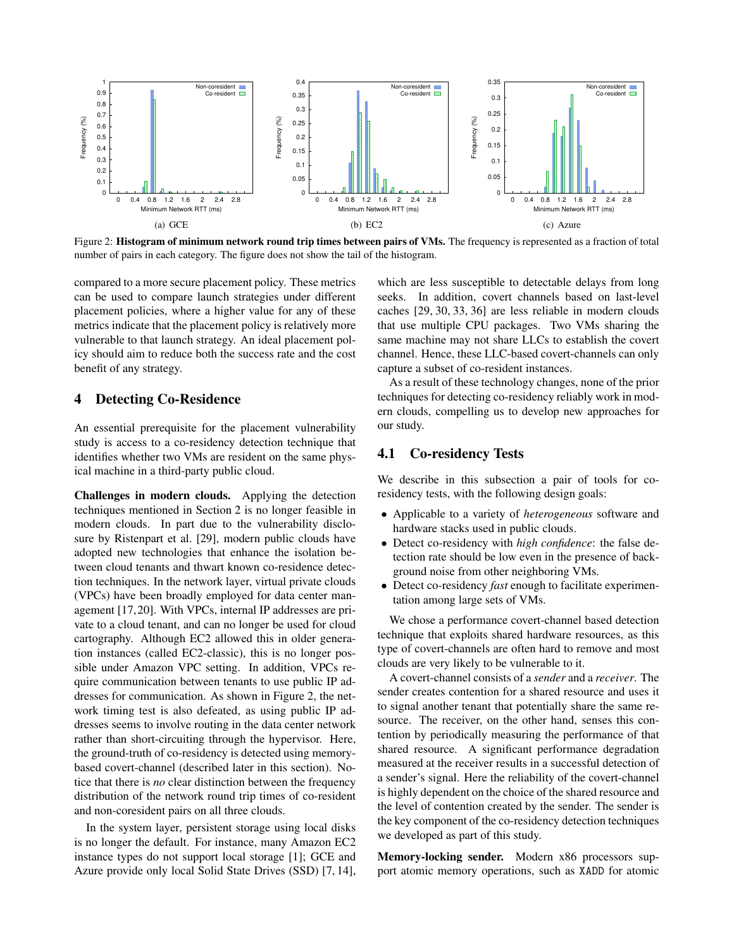

Figure 2: Histogram of minimum network round trip times between pairs of VMs. The frequency is represented as a fraction of total number of pairs in each category. The figure does not show the tail of the histogram.

compared to a more secure placement policy. These metrics can be used to compare launch strategies under different placement policies, where a higher value for any of these metrics indicate that the placement policy is relatively more vulnerable to that launch strategy. An ideal placement policy should aim to reduce both the success rate and the cost benefit of any strategy.

#### 4 Detecting Co-Residence

An essential prerequisite for the placement vulnerability study is access to a co-residency detection technique that identifies whether two VMs are resident on the same physical machine in a third-party public cloud.

Challenges in modern clouds. Applying the detection techniques mentioned in Section 2 is no longer feasible in modern clouds. In part due to the vulnerability disclosure by Ristenpart et al. [29], modern public clouds have adopted new technologies that enhance the isolation between cloud tenants and thwart known co-residence detection techniques. In the network layer, virtual private clouds (VPCs) have been broadly employed for data center management [17, 20]. With VPCs, internal IP addresses are private to a cloud tenant, and can no longer be used for cloud cartography. Although EC2 allowed this in older generation instances (called EC2-classic), this is no longer possible under Amazon VPC setting. In addition, VPCs require communication between tenants to use public IP addresses for communication. As shown in Figure 2, the network timing test is also defeated, as using public IP addresses seems to involve routing in the data center network rather than short-circuiting through the hypervisor. Here, the ground-truth of co-residency is detected using memorybased covert-channel (described later in this section). Notice that there is *no* clear distinction between the frequency distribution of the network round trip times of co-resident and non-coresident pairs on all three clouds.

In the system layer, persistent storage using local disks is no longer the default. For instance, many Amazon EC2 instance types do not support local storage [1]; GCE and Azure provide only local Solid State Drives (SSD) [7, 14], which are less susceptible to detectable delays from long seeks. In addition, covert channels based on last-level caches [29, 30, 33, 36] are less reliable in modern clouds that use multiple CPU packages. Two VMs sharing the same machine may not share LLCs to establish the covert channel. Hence, these LLC-based covert-channels can only capture a subset of co-resident instances.

As a result of these technology changes, none of the prior techniques for detecting co-residency reliably work in modern clouds, compelling us to develop new approaches for our study.

#### 4.1 Co-residency Tests

We describe in this subsection a pair of tools for coresidency tests, with the following design goals:

- Applicable to a variety of *heterogeneous* software and hardware stacks used in public clouds.
- Detect co-residency with *high confidence*: the false detection rate should be low even in the presence of background noise from other neighboring VMs.
- Detect co-residency *fast* enough to facilitate experimentation among large sets of VMs.

We chose a performance covert-channel based detection technique that exploits shared hardware resources, as this type of covert-channels are often hard to remove and most clouds are very likely to be vulnerable to it.

A covert-channel consists of a *sender* and a *receiver*. The sender creates contention for a shared resource and uses it to signal another tenant that potentially share the same resource. The receiver, on the other hand, senses this contention by periodically measuring the performance of that shared resource. A significant performance degradation measured at the receiver results in a successful detection of a sender's signal. Here the reliability of the covert-channel is highly dependent on the choice of the shared resource and the level of contention created by the sender. The sender is the key component of the co-residency detection techniques we developed as part of this study.

Memory-locking sender. Modern x86 processors support atomic memory operations, such as XADD for atomic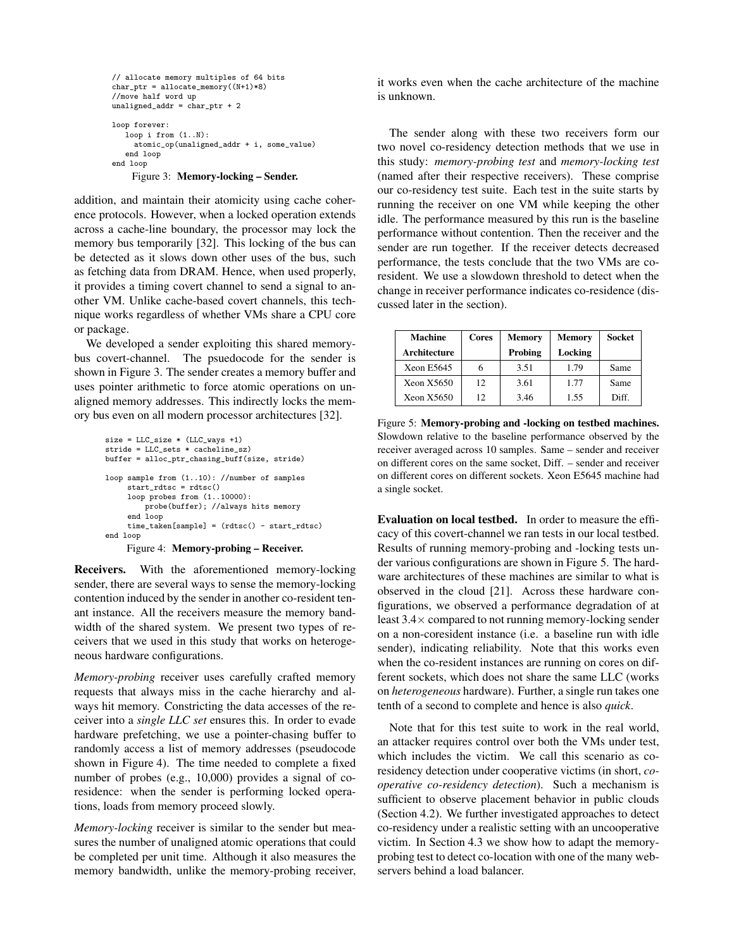```
// allocate memory multiples of 64 bits
char_ptr = allocate_memory((N+1)*8)
//move half word up
unaligned_addr = char_ptr + 2
loop forever:
   loop i from (1..N):
    atomic_op(unaligned_addr + i, some_value)
   end loop
end loop
    Figure 3: Memory-locking – Sender.
```
addition, and maintain their atomicity using cache coherence protocols. However, when a locked operation extends across a cache-line boundary, the processor may lock the memory bus temporarily [32]. This locking of the bus can be detected as it slows down other uses of the bus, such as fetching data from DRAM. Hence, when used properly, it provides a timing covert channel to send a signal to another VM. Unlike cache-based covert channels, this technique works regardless of whether VMs share a CPU core or package.

We developed a sender exploiting this shared memorybus covert-channel. The psuedocode for the sender is shown in Figure 3. The sender creates a memory buffer and uses pointer arithmetic to force atomic operations on unaligned memory addresses. This indirectly locks the memory bus even on all modern processor architectures [32].

```
size = LLC_size * (LLC_ways +1)stride = LLC_sets * cacheline_sz)
buffer = alloc_ptr_chasing_buff(size, stride)
loop sample from (1..10): //number of samples
     start_rdtsc = rdtsc()
     loop probes from (1..10000):
     probe(buffer); //always hits memory
end loop
     time_taken[sample] = (rdtsc() - start_rdtsc)
end loop
     Figure 4: Memory-probing – Receiver.
```
Receivers. With the aforementioned memory-locking sender, there are several ways to sense the memory-locking contention induced by the sender in another co-resident tenant instance. All the receivers measure the memory bandwidth of the shared system. We present two types of receivers that we used in this study that works on heterogeneous hardware configurations.

*Memory-probing* receiver uses carefully crafted memory requests that always miss in the cache hierarchy and always hit memory. Constricting the data accesses of the receiver into a *single LLC set* ensures this. In order to evade hardware prefetching, we use a pointer-chasing buffer to randomly access a list of memory addresses (pseudocode shown in Figure 4). The time needed to complete a fixed number of probes (e.g., 10,000) provides a signal of coresidence: when the sender is performing locked operations, loads from memory proceed slowly.

*Memory-locking* receiver is similar to the sender but measures the number of unaligned atomic operations that could be completed per unit time. Although it also measures the memory bandwidth, unlike the memory-probing receiver, it works even when the cache architecture of the machine is unknown.

The sender along with these two receivers form our two novel co-residency detection methods that we use in this study: *memory-probing test* and *memory-locking test* (named after their respective receivers). These comprise our co-residency test suite. Each test in the suite starts by running the receiver on one VM while keeping the other idle. The performance measured by this run is the baseline performance without contention. Then the receiver and the sender are run together. If the receiver detects decreased performance, the tests conclude that the two VMs are coresident. We use a slowdown threshold to detect when the change in receiver performance indicates co-residence (discussed later in the section).

| <b>Machine</b> | Cores | <b>Memory</b> | <b>Memory</b> | <b>Socket</b> |
|----------------|-------|---------------|---------------|---------------|
| Architecture   |       | Probing       | Locking       |               |
| Xeon E5645     | 6     | 3.51          | 1.79          | Same          |
| Xeon X5650     | 12    | 3.61          | 1.77          | Same          |
| Xeon X5650     | 12    | 3.46          | 1.55          | Diff.         |

Figure 5: Memory-probing and -locking on testbed machines. Slowdown relative to the baseline performance observed by the receiver averaged across 10 samples. Same – sender and receiver on different cores on the same socket, Diff. – sender and receiver on different cores on different sockets. Xeon E5645 machine had a single socket.

Evaluation on local testbed. In order to measure the efficacy of this covert-channel we ran tests in our local testbed. Results of running memory-probing and -locking tests under various configurations are shown in Figure 5. The hardware architectures of these machines are similar to what is observed in the cloud [21]. Across these hardware configurations, we observed a performance degradation of at least 3.4× compared to not running memory-locking sender on a non-coresident instance (i.e. a baseline run with idle sender), indicating reliability. Note that this works even when the co-resident instances are running on cores on different sockets, which does not share the same LLC (works on *heterogeneous* hardware). Further, a single run takes one tenth of a second to complete and hence is also *quick*.

Note that for this test suite to work in the real world, an attacker requires control over both the VMs under test, which includes the victim. We call this scenario as coresidency detection under cooperative victims (in short, *cooperative co-residency detection*). Such a mechanism is sufficient to observe placement behavior in public clouds (Section 4.2). We further investigated approaches to detect co-residency under a realistic setting with an uncooperative victim. In Section 4.3 we show how to adapt the memoryprobing test to detect co-location with one of the many webservers behind a load balancer.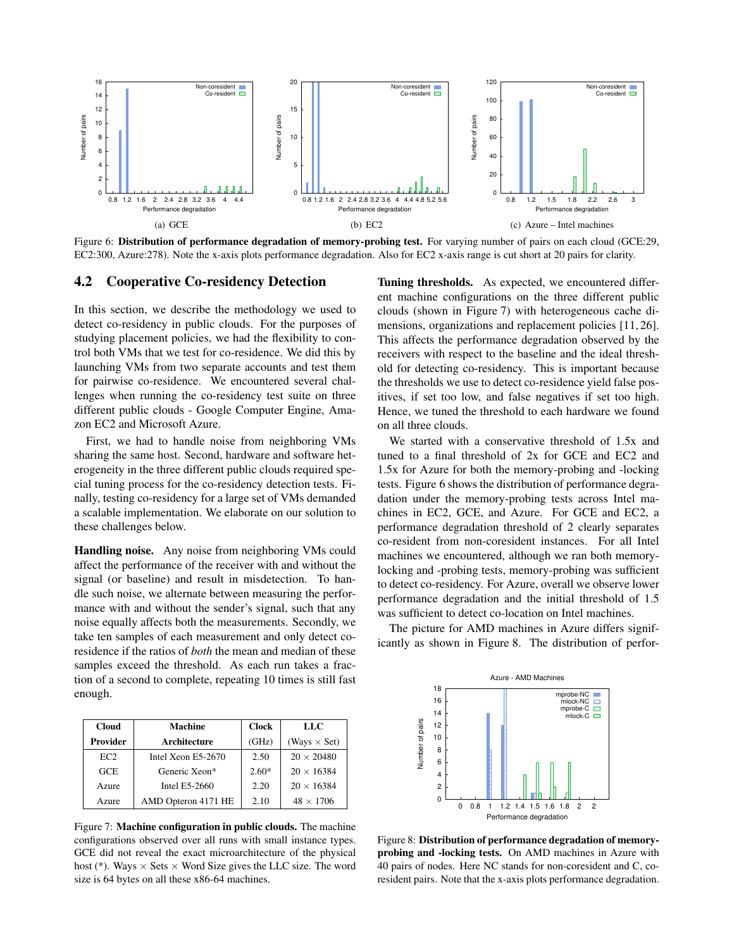

Figure 6: Distribution of performance degradation of memory-probing test. For varying number of pairs on each cloud (GCE:29, EC2:300, Azure:278). Note the x-axis plots performance degradation. Also for EC2 x-axis range is cut short at 20 pairs for clarity.

#### 4.2 Cooperative Co-residency Detection

In this section, we describe the methodology we used to detect co-residency in public clouds. For the purposes of studying placement policies, we had the flexibility to control both VMs that we test for co-residence. We did this by launching VMs from two separate accounts and test them for pairwise co-residence. We encountered several challenges when running the co-residency test suite on three different public clouds - Google Computer Engine, Amazon EC2 and Microsoft Azure.

First, we had to handle noise from neighboring VMs sharing the same host. Second, hardware and software heterogeneity in the three different public clouds required special tuning process for the co-residency detection tests. Finally, testing co-residency for a large set of VMs demanded a scalable implementation. We elaborate on our solution to these challenges below.

Handling noise. Any noise from neighboring VMs could affect the performance of the receiver with and without the signal (or baseline) and result in misdetection. To handle such noise, we alternate between measuring the performance with and without the sender's signal, such that any noise equally affects both the measurements. Secondly, we take ten samples of each measurement and only detect coresidence if the ratios of *both* the mean and median of these samples exceed the threshold. As each run takes a fraction of a second to complete, repeating 10 times is still fast enough.

| <b>Cloud</b> | <b>Machine</b>      | <b>Clock</b> | LLC                 |
|--------------|---------------------|--------------|---------------------|
| Provider     | Architecture        | (GHz)        | (Ways $\times$ Set) |
| EC2          | Intel Xeon E5-2670  | 2.50         | $20 \times 20480$   |
| <b>GCE</b>   | Generic Xeon*       | $2.60*$      | $20 \times 16384$   |
| Azure        | Intel E5-2660       | 2.20         | $20 \times 16384$   |
| Azure        | AMD Opteron 4171 HE | 2.10         | $48 \times 1706$    |

Figure 7: Machine configuration in public clouds. The machine configurations observed over all runs with small instance types. GCE did not reveal the exact microarchitecture of the physical host (\*). Ways  $\times$  Sets  $\times$  Word Size gives the LLC size. The word size is 64 bytes on all these x86-64 machines.

Tuning thresholds. As expected, we encountered different machine configurations on the three different public clouds (shown in Figure 7) with heterogeneous cache dimensions, organizations and replacement policies [11, 26]. This affects the performance degradation observed by the receivers with respect to the baseline and the ideal threshold for detecting co-residency. This is important because the thresholds we use to detect co-residence yield false positives, if set too low, and false negatives if set too high. Hence, we tuned the threshold to each hardware we found on all three clouds.

We started with a conservative threshold of 1.5x and tuned to a final threshold of 2x for GCE and EC2 and 1.5x for Azure for both the memory-probing and -locking tests. Figure 6 shows the distribution of performance degradation under the memory-probing tests across Intel machines in EC2, GCE, and Azure. For GCE and EC2, a performance degradation threshold of 2 clearly separates co-resident from non-coresident instances. For all Intel machines we encountered, although we ran both memorylocking and -probing tests, memory-probing was sufficient to detect co-residency. For Azure, overall we observe lower performance degradation and the initial threshold of 1.5 was sufficient to detect co-location on Intel machines.

The picture for AMD machines in Azure differs significantly as shown in Figure 8. The distribution of perfor-



Figure 8: Distribution of performance degradation of memoryprobing and -locking tests. On AMD machines in Azure with 40 pairs of nodes. Here NC stands for non-coresident and C, coresident pairs. Note that the x-axis plots performance degradation.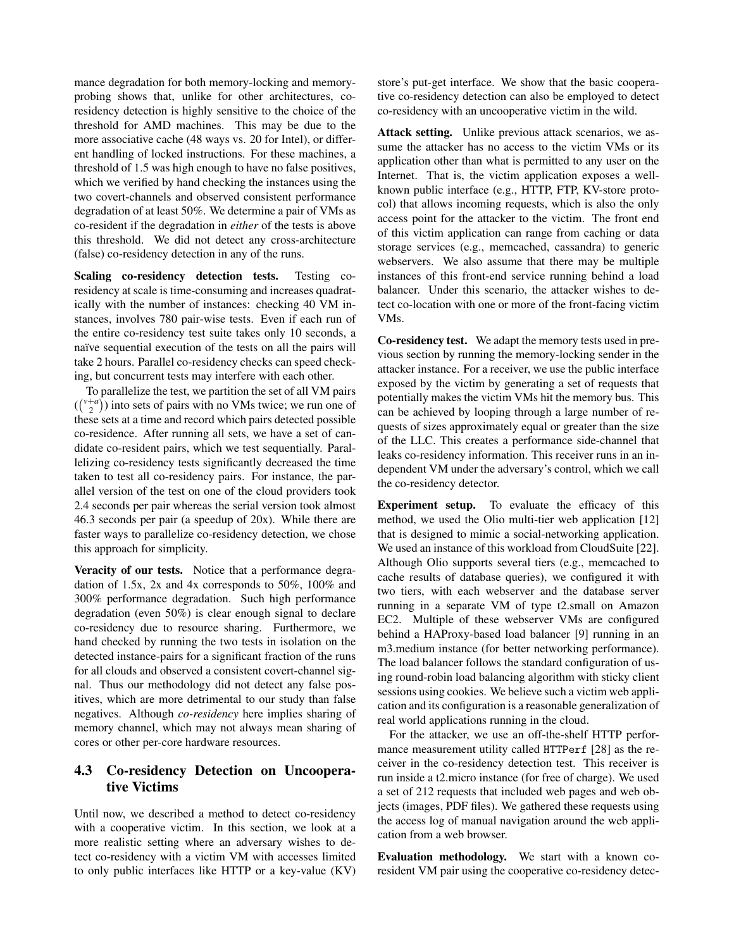mance degradation for both memory-locking and memoryprobing shows that, unlike for other architectures, coresidency detection is highly sensitive to the choice of the threshold for AMD machines. This may be due to the more associative cache (48 ways vs. 20 for Intel), or different handling of locked instructions. For these machines, a threshold of 1.5 was high enough to have no false positives, which we verified by hand checking the instances using the two covert-channels and observed consistent performance degradation of at least 50%. We determine a pair of VMs as co-resident if the degradation in *either* of the tests is above this threshold. We did not detect any cross-architecture (false) co-residency detection in any of the runs.

Scaling co-residency detection tests. Testing coresidency at scale is time-consuming and increases quadratically with the number of instances: checking 40 VM instances, involves 780 pair-wise tests. Even if each run of the entire co-residency test suite takes only 10 seconds, a naïve sequential execution of the tests on all the pairs will take 2 hours. Parallel co-residency checks can speed checking, but concurrent tests may interfere with each other.

To parallelize the test, we partition the set of all VM pairs  $\binom{\binom{v+a}{2}}{w}$  into sets of pairs with no VMs twice; we run one of these sets at a time and record which pairs detected possible co-residence. After running all sets, we have a set of candidate co-resident pairs, which we test sequentially. Parallelizing co-residency tests significantly decreased the time taken to test all co-residency pairs. For instance, the parallel version of the test on one of the cloud providers took 2.4 seconds per pair whereas the serial version took almost 46.3 seconds per pair (a speedup of 20x). While there are faster ways to parallelize co-residency detection, we chose this approach for simplicity.

Veracity of our tests. Notice that a performance degradation of 1.5x, 2x and 4x corresponds to 50%, 100% and 300% performance degradation. Such high performance degradation (even 50%) is clear enough signal to declare co-residency due to resource sharing. Furthermore, we hand checked by running the two tests in isolation on the detected instance-pairs for a significant fraction of the runs for all clouds and observed a consistent covert-channel signal. Thus our methodology did not detect any false positives, which are more detrimental to our study than false negatives. Although *co-residency* here implies sharing of memory channel, which may not always mean sharing of cores or other per-core hardware resources.

## 4.3 Co-residency Detection on Uncooperative Victims

Until now, we described a method to detect co-residency with a cooperative victim. In this section, we look at a more realistic setting where an adversary wishes to detect co-residency with a victim VM with accesses limited to only public interfaces like HTTP or a key-value (KV) store's put-get interface. We show that the basic cooperative co-residency detection can also be employed to detect co-residency with an uncooperative victim in the wild.

Attack setting. Unlike previous attack scenarios, we assume the attacker has no access to the victim VMs or its application other than what is permitted to any user on the Internet. That is, the victim application exposes a wellknown public interface (e.g., HTTP, FTP, KV-store protocol) that allows incoming requests, which is also the only access point for the attacker to the victim. The front end of this victim application can range from caching or data storage services (e.g., memcached, cassandra) to generic webservers. We also assume that there may be multiple instances of this front-end service running behind a load balancer. Under this scenario, the attacker wishes to detect co-location with one or more of the front-facing victim VMs.

Co-residency test. We adapt the memory tests used in previous section by running the memory-locking sender in the attacker instance. For a receiver, we use the public interface exposed by the victim by generating a set of requests that potentially makes the victim VMs hit the memory bus. This can be achieved by looping through a large number of requests of sizes approximately equal or greater than the size of the LLC. This creates a performance side-channel that leaks co-residency information. This receiver runs in an independent VM under the adversary's control, which we call the co-residency detector.

Experiment setup. To evaluate the efficacy of this method, we used the Olio multi-tier web application [12] that is designed to mimic a social-networking application. We used an instance of this workload from CloudSuite [22]. Although Olio supports several tiers (e.g., memcached to cache results of database queries), we configured it with two tiers, with each webserver and the database server running in a separate VM of type t2.small on Amazon EC2. Multiple of these webserver VMs are configured behind a HAProxy-based load balancer [9] running in an m3.medium instance (for better networking performance). The load balancer follows the standard configuration of using round-robin load balancing algorithm with sticky client sessions using cookies. We believe such a victim web application and its configuration is a reasonable generalization of real world applications running in the cloud.

For the attacker, we use an off-the-shelf HTTP performance measurement utility called HTTPerf [28] as the receiver in the co-residency detection test. This receiver is run inside a t2.micro instance (for free of charge). We used a set of 212 requests that included web pages and web objects (images, PDF files). We gathered these requests using the access log of manual navigation around the web application from a web browser.

Evaluation methodology. We start with a known coresident VM pair using the cooperative co-residency detec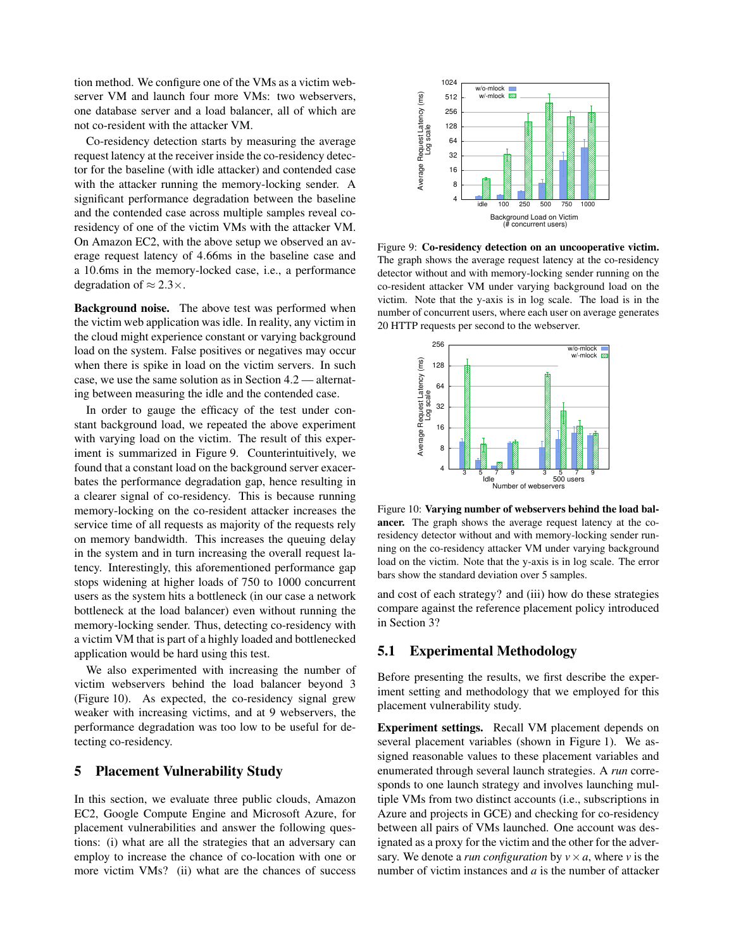tion method. We configure one of the VMs as a victim webserver VM and launch four more VMs: two webservers, one database server and a load balancer, all of which are not co-resident with the attacker VM.

Co-residency detection starts by measuring the average request latency at the receiver inside the co-residency detector for the baseline (with idle attacker) and contended case with the attacker running the memory-locking sender. A significant performance degradation between the baseline and the contended case across multiple samples reveal coresidency of one of the victim VMs with the attacker VM. On Amazon EC2, with the above setup we observed an average request latency of 4.66ms in the baseline case and a 10.6ms in the memory-locked case, i.e., a performance degradation of  $\approx 2.3 \times$ .

Background noise. The above test was performed when the victim web application was idle. In reality, any victim in the cloud might experience constant or varying background load on the system. False positives or negatives may occur when there is spike in load on the victim servers. In such case, we use the same solution as in Section 4.2 — alternating between measuring the idle and the contended case.

In order to gauge the efficacy of the test under constant background load, we repeated the above experiment with varying load on the victim. The result of this experiment is summarized in Figure 9. Counterintuitively, we found that a constant load on the background server exacerbates the performance degradation gap, hence resulting in a clearer signal of co-residency. This is because running memory-locking on the co-resident attacker increases the service time of all requests as majority of the requests rely on memory bandwidth. This increases the queuing delay in the system and in turn increasing the overall request latency. Interestingly, this aforementioned performance gap stops widening at higher loads of 750 to 1000 concurrent users as the system hits a bottleneck (in our case a network bottleneck at the load balancer) even without running the memory-locking sender. Thus, detecting co-residency with a victim VM that is part of a highly loaded and bottlenecked application would be hard using this test.

We also experimented with increasing the number of victim webservers behind the load balancer beyond 3 (Figure 10). As expected, the co-residency signal grew weaker with increasing victims, and at 9 webservers, the performance degradation was too low to be useful for detecting co-residency.

### 5 Placement Vulnerability Study

In this section, we evaluate three public clouds, Amazon EC2, Google Compute Engine and Microsoft Azure, for placement vulnerabilities and answer the following questions: (i) what are all the strategies that an adversary can employ to increase the chance of co-location with one or more victim VMs? (ii) what are the chances of success



Figure 9: Co-residency detection on an uncooperative victim. The graph shows the average request latency at the co-residency detector without and with memory-locking sender running on the co-resident attacker VM under varying background load on the victim. Note that the y-axis is in log scale. The load is in the number of concurrent users, where each user on average generates 20 HTTP requests per second to the webserver.



Figure 10: Varying number of webservers behind the load balancer. The graph shows the average request latency at the coresidency detector without and with memory-locking sender running on the co-residency attacker VM under varying background load on the victim. Note that the y-axis is in log scale. The error bars show the standard deviation over 5 samples.

and cost of each strategy? and (iii) how do these strategies compare against the reference placement policy introduced in Section 3?

#### 5.1 Experimental Methodology

Before presenting the results, we first describe the experiment setting and methodology that we employed for this placement vulnerability study.

Experiment settings. Recall VM placement depends on several placement variables (shown in Figure 1). We assigned reasonable values to these placement variables and enumerated through several launch strategies. A *run* corresponds to one launch strategy and involves launching multiple VMs from two distinct accounts (i.e., subscriptions in Azure and projects in GCE) and checking for co-residency between all pairs of VMs launched. One account was designated as a proxy for the victim and the other for the adversary. We denote a *run configuration* by  $v \times a$ , where *v* is the number of victim instances and *a* is the number of attacker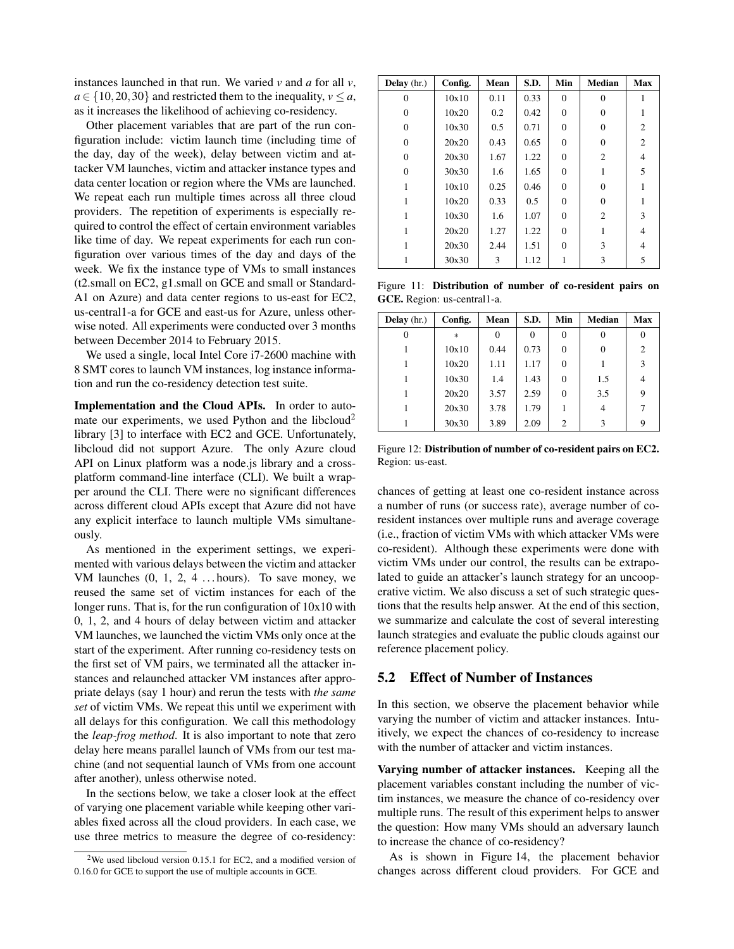instances launched in that run. We varied *v* and *a* for all *v*,  $a \in \{10, 20, 30\}$  and restricted them to the inequality,  $v \le a$ , as it increases the likelihood of achieving co-residency.

Other placement variables that are part of the run configuration include: victim launch time (including time of the day, day of the week), delay between victim and attacker VM launches, victim and attacker instance types and data center location or region where the VMs are launched. We repeat each run multiple times across all three cloud providers. The repetition of experiments is especially required to control the effect of certain environment variables like time of day. We repeat experiments for each run configuration over various times of the day and days of the week. We fix the instance type of VMs to small instances (t2.small on EC2, g1.small on GCE and small or Standard-A1 on Azure) and data center regions to us-east for EC2, us-central1-a for GCE and east-us for Azure, unless otherwise noted. All experiments were conducted over 3 months between December 2014 to February 2015.

We used a single, local Intel Core i7-2600 machine with 8 SMT cores to launch VM instances, log instance information and run the co-residency detection test suite.

Implementation and the Cloud APIs. In order to automate our experiments, we used Python and the libcloud<sup>2</sup> library [3] to interface with EC2 and GCE. Unfortunately, libcloud did not support Azure. The only Azure cloud API on Linux platform was a node.js library and a crossplatform command-line interface (CLI). We built a wrapper around the CLI. There were no significant differences across different cloud APIs except that Azure did not have any explicit interface to launch multiple VMs simultaneously.

As mentioned in the experiment settings, we experimented with various delays between the victim and attacker VM launches  $(0, 1, 2, 4...$  hours). To save money, we reused the same set of victim instances for each of the longer runs. That is, for the run configuration of 10x10 with 0, 1, 2, and 4 hours of delay between victim and attacker VM launches, we launched the victim VMs only once at the start of the experiment. After running co-residency tests on the first set of VM pairs, we terminated all the attacker instances and relaunched attacker VM instances after appropriate delays (say 1 hour) and rerun the tests with *the same set* of victim VMs. We repeat this until we experiment with all delays for this configuration. We call this methodology the *leap-frog method*. It is also important to note that zero delay here means parallel launch of VMs from our test machine (and not sequential launch of VMs from one account after another), unless otherwise noted.

In the sections below, we take a closer look at the effect of varying one placement variable while keeping other variables fixed across all the cloud providers. In each case, we use three metrics to measure the degree of co-residency:

| Delay $(hr.)$ | Config. | Mean | S.D. | Min      | <b>Median</b>  | Max            |
|---------------|---------|------|------|----------|----------------|----------------|
| 0             | 10x10   | 0.11 | 0.33 | $\theta$ | $\theta$       | 1              |
| $\Omega$      | 10x20   | 0.2  | 0.42 | $\Omega$ | 0              |                |
| $\Omega$      | 10x30   | 0.5  | 0.71 | $\Omega$ | $\Omega$       | $\overline{c}$ |
| $\Omega$      | 20x20   | 0.43 | 0.65 | $\Omega$ | $\Omega$       | $\overline{c}$ |
| $\Omega$      | 20x30   | 1.67 | 1.22 | $\Omega$ | 2              | $\overline{4}$ |
| $\theta$      | 30x30   | 1.6  | 1.65 | $\Omega$ | 1              | 5              |
| 1             | 10x10   | 0.25 | 0.46 | $\Omega$ | 0              |                |
| 1             | 10x20   | 0.33 | 0.5  | $\Omega$ | 0              |                |
| 1             | 10x30   | 1.6  | 1.07 | $\Omega$ | $\overline{c}$ | 3              |
| 1             | 20x20   | 1.27 | 1.22 | $\Omega$ |                | $\overline{4}$ |
| 1             | 20x30   | 2.44 | 1.51 | $\Omega$ | 3              | $\overline{4}$ |
| 1             | 30x30   | 3    | 1.12 |          | 3              | 5              |

Figure 11: Distribution of number of co-resident pairs on GCE. Region: us-central1-a.

| Delay $(hr.)$ | Config. | Mean | S.D. | Min      | Median   | Max            |
|---------------|---------|------|------|----------|----------|----------------|
| 0             | $\ast$  |      |      | 0        | $\theta$ | 0              |
|               | 10x10   | 0.44 | 0.73 | $\Omega$ | $\theta$ | $\overline{c}$ |
|               | 10x20   | 1.11 | 1.17 | $\Omega$ |          | 3              |
|               | 10x30   | 1.4  | 1.43 | $\Omega$ | 1.5      | 4              |
|               | 20x20   | 3.57 | 2.59 | $\Omega$ | 3.5      | 9              |
|               | 20x30   | 3.78 | 1.79 |          | 4        |                |
|               | 30x30   | 3.89 | 2.09 | 2        | 3        | 9              |

Figure 12: Distribution of number of co-resident pairs on EC2. Region: us-east.

chances of getting at least one co-resident instance across a number of runs (or success rate), average number of coresident instances over multiple runs and average coverage (i.e., fraction of victim VMs with which attacker VMs were co-resident). Although these experiments were done with victim VMs under our control, the results can be extrapolated to guide an attacker's launch strategy for an uncooperative victim. We also discuss a set of such strategic questions that the results help answer. At the end of this section, we summarize and calculate the cost of several interesting launch strategies and evaluate the public clouds against our reference placement policy.

#### 5.2 Effect of Number of Instances

In this section, we observe the placement behavior while varying the number of victim and attacker instances. Intuitively, we expect the chances of co-residency to increase with the number of attacker and victim instances.

Varying number of attacker instances. Keeping all the placement variables constant including the number of victim instances, we measure the chance of co-residency over multiple runs. The result of this experiment helps to answer the question: How many VMs should an adversary launch to increase the chance of co-residency?

As is shown in Figure 14, the placement behavior changes across different cloud providers. For GCE and

<sup>&</sup>lt;sup>2</sup>We used libcloud version 0.15.1 for EC2, and a modified version of 0.16.0 for GCE to support the use of multiple accounts in GCE.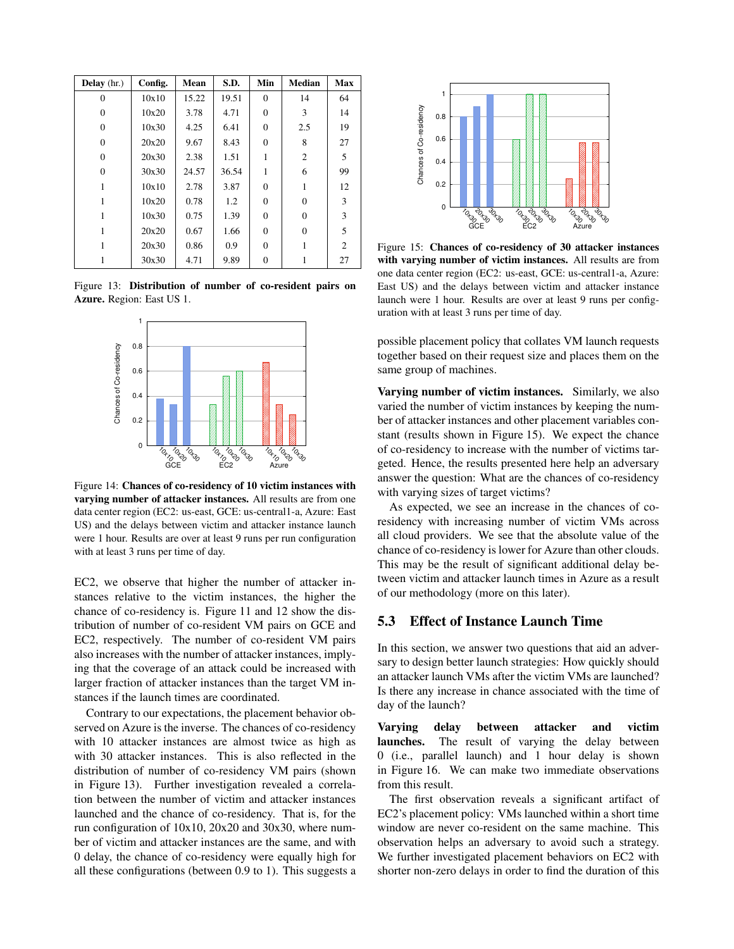| Delay (hr.) | Config. | Mean  | S.D.  | Min      | <b>Median</b>  | Max            |
|-------------|---------|-------|-------|----------|----------------|----------------|
| $\theta$    | 10x10   | 15.22 | 19.51 | $\Omega$ | 14             | 64             |
| $\Omega$    | 10x20   | 3.78  | 4.71  | $\Omega$ | 3              | 14             |
| $\Omega$    | 10x30   | 4.25  | 6.41  | $\theta$ | 2.5            | 19             |
| $\Omega$    | 20x20   | 9.67  | 8.43  | $\Omega$ | 8              | 27             |
| $\Omega$    | 20x30   | 2.38  | 1.51  | 1        | $\overline{2}$ | 5              |
| $\Omega$    | 30x30   | 24.57 | 36.54 | 1        | 6              | 99             |
| 1           | 10x10   | 2.78  | 3.87  | 0        | 1              | 12             |
| 1           | 10x20   | 0.78  | 1.2   | $\theta$ | $\Omega$       | 3              |
| 1           | 10x30   | 0.75  | 1.39  | $\theta$ | $\Omega$       | 3              |
| 1           | 20x20   | 0.67  | 1.66  | $\Omega$ | $\Omega$       | 5              |
| 1           | 20x30   | 0.86  | 0.9   | $\theta$ |                | $\overline{c}$ |
|             | 30x30   | 4.71  | 9.89  | $\theta$ |                | 27             |

Figure 13: Distribution of number of co-resident pairs on Azure. Region: East US 1.



Figure 14: Chances of co-residency of 10 victim instances with varying number of attacker instances. All results are from one data center region (EC2: us-east, GCE: us-central1-a, Azure: East US) and the delays between victim and attacker instance launch were 1 hour. Results are over at least 9 runs per run configuration with at least 3 runs per time of day.

EC2, we observe that higher the number of attacker instances relative to the victim instances, the higher the chance of co-residency is. Figure 11 and 12 show the distribution of number of co-resident VM pairs on GCE and EC2, respectively. The number of co-resident VM pairs also increases with the number of attacker instances, implying that the coverage of an attack could be increased with larger fraction of attacker instances than the target VM instances if the launch times are coordinated.

Contrary to our expectations, the placement behavior observed on Azure is the inverse. The chances of co-residency with 10 attacker instances are almost twice as high as with 30 attacker instances. This is also reflected in the distribution of number of co-residency VM pairs (shown in Figure 13). Further investigation revealed a correlation between the number of victim and attacker instances launched and the chance of co-residency. That is, for the run configuration of 10x10, 20x20 and 30x30, where number of victim and attacker instances are the same, and with 0 delay, the chance of co-residency were equally high for all these configurations (between 0.9 to 1). This suggests a



Figure 15: Chances of co-residency of 30 attacker instances with varying number of victim instances. All results are from one data center region (EC2: us-east, GCE: us-central1-a, Azure: East US) and the delays between victim and attacker instance launch were 1 hour. Results are over at least 9 runs per configuration with at least 3 runs per time of day.

possible placement policy that collates VM launch requests together based on their request size and places them on the same group of machines.

Varying number of victim instances. Similarly, we also varied the number of victim instances by keeping the number of attacker instances and other placement variables constant (results shown in Figure 15). We expect the chance of co-residency to increase with the number of victims targeted. Hence, the results presented here help an adversary answer the question: What are the chances of co-residency with varying sizes of target victims?

As expected, we see an increase in the chances of coresidency with increasing number of victim VMs across all cloud providers. We see that the absolute value of the chance of co-residency is lower for Azure than other clouds. This may be the result of significant additional delay between victim and attacker launch times in Azure as a result of our methodology (more on this later).

#### 5.3 Effect of Instance Launch Time

In this section, we answer two questions that aid an adversary to design better launch strategies: How quickly should an attacker launch VMs after the victim VMs are launched? Is there any increase in chance associated with the time of day of the launch?

Varying delay between attacker and victim launches. The result of varying the delay between 0 (i.e., parallel launch) and 1 hour delay is shown in Figure 16. We can make two immediate observations from this result.

The first observation reveals a significant artifact of EC2's placement policy: VMs launched within a short time window are never co-resident on the same machine. This observation helps an adversary to avoid such a strategy. We further investigated placement behaviors on EC2 with shorter non-zero delays in order to find the duration of this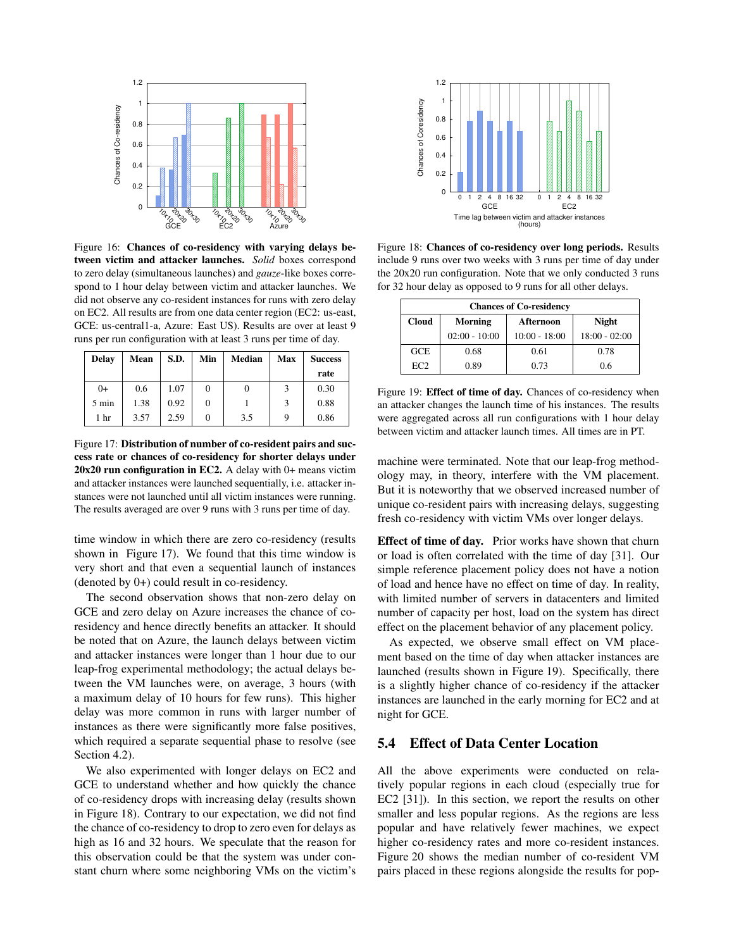

Figure 16: Chances of co-residency with varying delays between victim and attacker launches. *Solid* boxes correspond to zero delay (simultaneous launches) and *gauze*-like boxes correspond to 1 hour delay between victim and attacker launches. We did not observe any co-resident instances for runs with zero delay on EC2. All results are from one data center region (EC2: us-east, GCE: us-central1-a, Azure: East US). Results are over at least 9 runs per run configuration with at least 3 runs per time of day.

| <b>Delay</b>    | Mean | S.D. | Min    | Median | Max | <b>Success</b> |
|-----------------|------|------|--------|--------|-----|----------------|
|                 |      |      |        |        |     | rate           |
| $0+$            | 0.6  | 1.07 | 0      |        |     | 0.30           |
| $5 \text{ min}$ | 1.38 | 0.92 | 0      |        | 3   | 0.88           |
| 1 <sub>hr</sub> | 3.57 | 2.59 | $_{0}$ | 3.5    | 9   | 0.86           |

Figure 17: Distribution of number of co-resident pairs and success rate or chances of co-residency for shorter delays under 20x20 run configuration in EC2. A delay with 0+ means victim and attacker instances were launched sequentially, i.e. attacker instances were not launched until all victim instances were running. The results averaged are over 9 runs with 3 runs per time of day.

time window in which there are zero co-residency (results shown in Figure 17). We found that this time window is very short and that even a sequential launch of instances (denoted by 0+) could result in co-residency.

The second observation shows that non-zero delay on GCE and zero delay on Azure increases the chance of coresidency and hence directly benefits an attacker. It should be noted that on Azure, the launch delays between victim and attacker instances were longer than 1 hour due to our leap-frog experimental methodology; the actual delays between the VM launches were, on average, 3 hours (with a maximum delay of 10 hours for few runs). This higher delay was more common in runs with larger number of instances as there were significantly more false positives, which required a separate sequential phase to resolve (see Section 4.2).

We also experimented with longer delays on EC2 and GCE to understand whether and how quickly the chance of co-residency drops with increasing delay (results shown in Figure 18). Contrary to our expectation, we did not find the chance of co-residency to drop to zero even for delays as high as 16 and 32 hours. We speculate that the reason for this observation could be that the system was under constant churn where some neighboring VMs on the victim's



Figure 18: Chances of co-residency over long periods. Results include 9 runs over two weeks with 3 runs per time of day under the 20x20 run configuration. Note that we only conducted 3 runs for 32 hour delay as opposed to 9 runs for all other delays.

| <b>Chances of Co-residency</b>                       |                 |                 |                 |  |  |  |  |
|------------------------------------------------------|-----------------|-----------------|-----------------|--|--|--|--|
| <b>Cloud</b><br>Morning<br><b>Night</b><br>Afternoon |                 |                 |                 |  |  |  |  |
|                                                      | $02:00 - 10:00$ | $10:00 - 18:00$ | $18:00 - 02:00$ |  |  |  |  |
| <b>GCE</b>                                           | 0.68            | 0.61            | 0.78            |  |  |  |  |
| EC2                                                  | 0.89            | 0.73            | 0.6             |  |  |  |  |

Figure 19: Effect of time of day. Chances of co-residency when an attacker changes the launch time of his instances. The results were aggregated across all run configurations with 1 hour delay between victim and attacker launch times. All times are in PT.

machine were terminated. Note that our leap-frog methodology may, in theory, interfere with the VM placement. But it is noteworthy that we observed increased number of unique co-resident pairs with increasing delays, suggesting fresh co-residency with victim VMs over longer delays.

Effect of time of day. Prior works have shown that churn or load is often correlated with the time of day [31]. Our simple reference placement policy does not have a notion of load and hence have no effect on time of day. In reality, with limited number of servers in datacenters and limited number of capacity per host, load on the system has direct effect on the placement behavior of any placement policy.

As expected, we observe small effect on VM placement based on the time of day when attacker instances are launched (results shown in Figure 19). Specifically, there is a slightly higher chance of co-residency if the attacker instances are launched in the early morning for EC2 and at night for GCE.

# 5.4 Effect of Data Center Location

All the above experiments were conducted on relatively popular regions in each cloud (especially true for EC2 [31]). In this section, we report the results on other smaller and less popular regions. As the regions are less popular and have relatively fewer machines, we expect higher co-residency rates and more co-resident instances. Figure 20 shows the median number of co-resident VM pairs placed in these regions alongside the results for pop-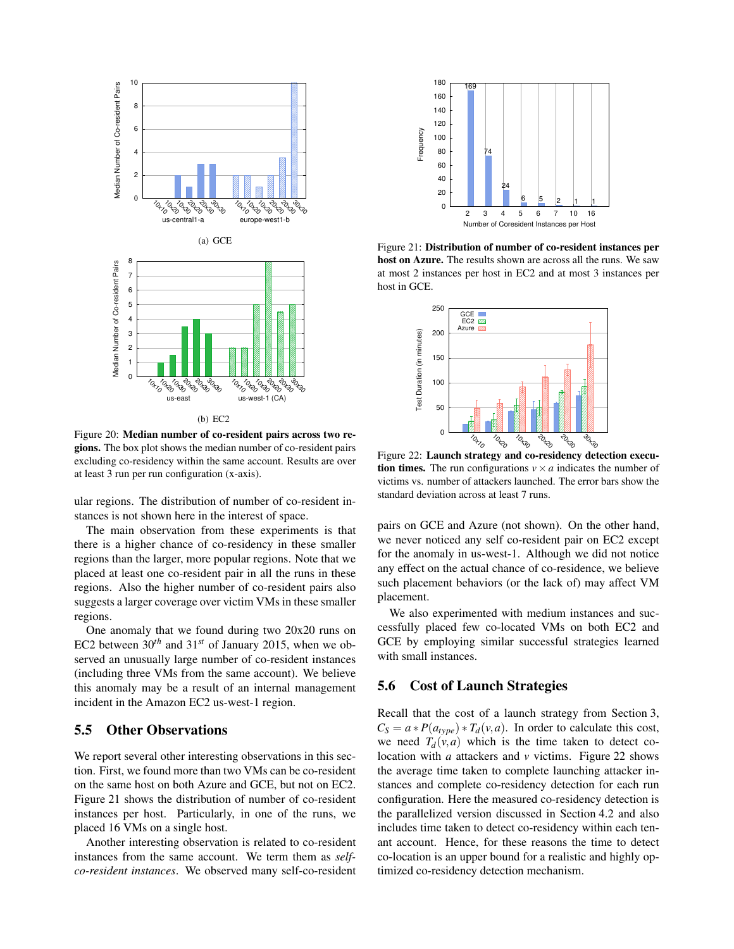

(b) EC2

Figure 20: Median number of co-resident pairs across two regions. The box plot shows the median number of co-resident pairs excluding co-residency within the same account. Results are over at least 3 run per run configuration (x-axis).

ular regions. The distribution of number of co-resident instances is not shown here in the interest of space.

The main observation from these experiments is that there is a higher chance of co-residency in these smaller regions than the larger, more popular regions. Note that we placed at least one co-resident pair in all the runs in these regions. Also the higher number of co-resident pairs also suggests a larger coverage over victim VMs in these smaller regions.

One anomaly that we found during two 20x20 runs on EC2 between  $30^{th}$  and  $31^{st}$  of January 2015, when we observed an unusually large number of co-resident instances (including three VMs from the same account). We believe this anomaly may be a result of an internal management incident in the Amazon EC2 us-west-1 region.

## 5.5 Other Observations

We report several other interesting observations in this section. First, we found more than two VMs can be co-resident on the same host on both Azure and GCE, but not on EC2. Figure 21 shows the distribution of number of co-resident instances per host. Particularly, in one of the runs, we placed 16 VMs on a single host.

Another interesting observation is related to co-resident instances from the same account. We term them as *selfco-resident instances*. We observed many self-co-resident



Figure 21: Distribution of number of co-resident instances per host on Azure. The results shown are across all the runs. We saw at most 2 instances per host in EC2 and at most 3 instances per host in GCE.



Figure 22: Launch strategy and co-residency detection execu**tion times.** The run configurations  $v \times a$  indicates the number of victims vs. number of attackers launched. The error bars show the standard deviation across at least 7 runs.

pairs on GCE and Azure (not shown). On the other hand, we never noticed any self co-resident pair on EC2 except for the anomaly in us-west-1. Although we did not notice any effect on the actual chance of co-residence, we believe such placement behaviors (or the lack of) may affect VM placement.

We also experimented with medium instances and successfully placed few co-located VMs on both EC2 and GCE by employing similar successful strategies learned with small instances.

## 5.6 Cost of Launch Strategies

Recall that the cost of a launch strategy from Section 3,  $C_S = a * P(a_{type}) * T_d(v, a)$ . In order to calculate this cost, we need  $T_d(v, a)$  which is the time taken to detect colocation with *a* attackers and *v* victims. Figure 22 shows the average time taken to complete launching attacker instances and complete co-residency detection for each run configuration. Here the measured co-residency detection is the parallelized version discussed in Section 4.2 and also includes time taken to detect co-residency within each tenant account. Hence, for these reasons the time to detect co-location is an upper bound for a realistic and highly optimized co-residency detection mechanism.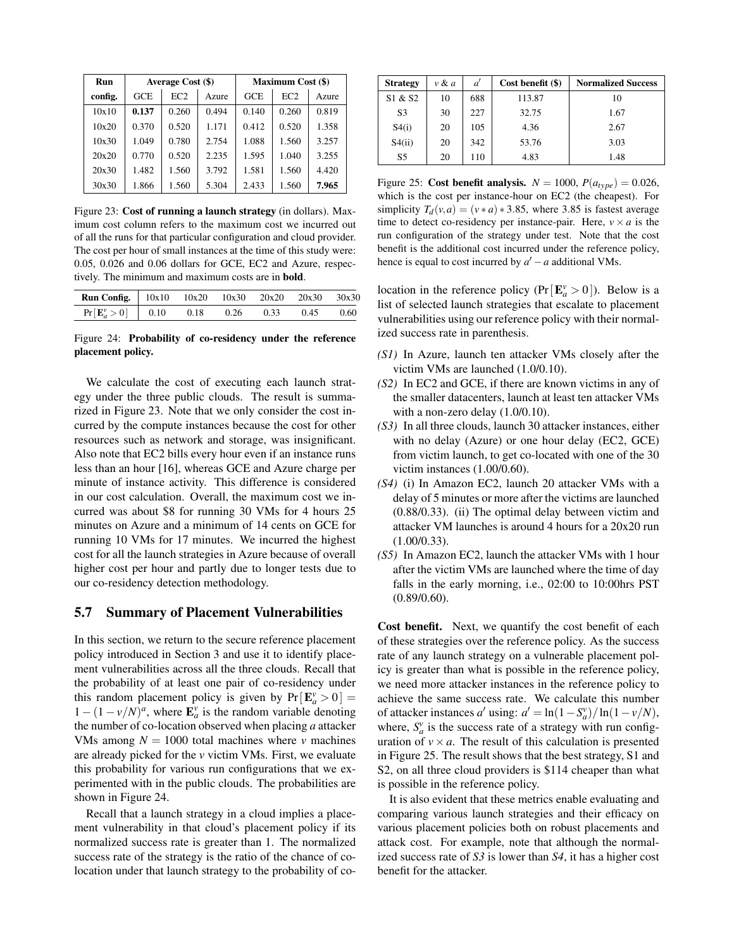| <b>Run</b> |       | Average Cost (\$) |       |            | <b>Maximum Cost (\$)</b> |       |
|------------|-------|-------------------|-------|------------|--------------------------|-------|
| config.    | GCE   | EC2               | Azure | <b>GCE</b> | EC2                      | Azure |
| 10x10      | 0.137 | 0.260             | 0.494 | 0.140      | 0.260                    | 0.819 |
| 10x20      | 0.370 | 0.520             | 1.171 | 0.412      | 0.520                    | 1.358 |
| 10x30      | 1.049 | 0.780             | 2.754 | 1.088      | 1.560                    | 3.257 |
| 20x20      | 0.770 | 0.520             | 2.235 | 1.595      | 1.040                    | 3.255 |
| 20x30      | 1.482 | 1.560             | 3.792 | 1.581      | 1.560                    | 4.420 |
| 30x30      | 1.866 | 1.560             | 5.304 | 2.433      | 1.560                    | 7.965 |

Figure 23: Cost of running a launch strategy (in dollars). Maximum cost column refers to the maximum cost we incurred out of all the runs for that particular configuration and cloud provider. The cost per hour of small instances at the time of this study were: 0.05, 0.026 and 0.06 dollars for GCE, EC2 and Azure, respectively. The minimum and maximum costs are in bold.

| <b>Run Config.</b>   10x10  10x20  10x30  20x20  20x30  30x30 |      |      |      |      |      |
|---------------------------------------------------------------|------|------|------|------|------|
| $Pr[\mathbf{E}_{a}^{\nu} > 0]$   0.10                         | 0.18 | 0.26 | 0.33 | 0.45 | 0.60 |

Figure 24: Probability of co-residency under the reference placement policy.

We calculate the cost of executing each launch strategy under the three public clouds. The result is summarized in Figure 23. Note that we only consider the cost incurred by the compute instances because the cost for other resources such as network and storage, was insignificant. Also note that EC2 bills every hour even if an instance runs less than an hour [16], whereas GCE and Azure charge per minute of instance activity. This difference is considered in our cost calculation. Overall, the maximum cost we incurred was about \$8 for running 30 VMs for 4 hours 25 minutes on Azure and a minimum of 14 cents on GCE for running 10 VMs for 17 minutes. We incurred the highest cost for all the launch strategies in Azure because of overall higher cost per hour and partly due to longer tests due to our co-residency detection methodology.

## 5.7 Summary of Placement Vulnerabilities

In this section, we return to the secure reference placement policy introduced in Section 3 and use it to identify placement vulnerabilities across all the three clouds. Recall that the probability of at least one pair of co-residency under this random placement policy is given by  $Pr[E^{\nu}_a > 0] =$  $1 - (1 - v/N)^a$ , where  $\mathbf{E}_a^v$  is the random variable denoting the number of co-location observed when placing *a* attacker VMs among  $N = 1000$  total machines where *v* machines are already picked for the *v* victim VMs. First, we evaluate this probability for various run configurations that we experimented with in the public clouds. The probabilities are shown in Figure 24.

Recall that a launch strategy in a cloud implies a placement vulnerability in that cloud's placement policy if its normalized success rate is greater than 1. The normalized success rate of the strategy is the ratio of the chance of colocation under that launch strategy to the probability of co-

| <b>Strategy</b> | $v \& a$ | ď   | Cost benefit (\$) | <b>Normalized Success</b> |
|-----------------|----------|-----|-------------------|---------------------------|
| S1 & S2         | 10       | 688 | 113.87            | 10                        |
| S <sub>3</sub>  | 30       | 227 | 32.75             | 1.67                      |
| S4(i)           | 20       | 105 | 4.36              | 2.67                      |
| S4(ii)          | 20       | 342 | 53.76             | 3.03                      |
| S5              | 20       | 110 | 4.83              | 1.48                      |

Figure 25: Cost benefit analysis.  $N = 1000$ ,  $P(a_{type}) = 0.026$ , which is the cost per instance-hour on EC2 (the cheapest). For simplicity  $T_d(v, a) = (v * a) * 3.85$ , where 3.85 is fastest average time to detect co-residency per instance-pair. Here,  $v \times a$  is the run configuration of the strategy under test. Note that the cost benefit is the additional cost incurred under the reference policy, hence is equal to cost incurred by  $a' - a$  additional VMs.

location in the reference policy  $(Pr[E^{\nu}_a > 0])$ . Below is a list of selected launch strategies that escalate to placement vulnerabilities using our reference policy with their normalized success rate in parenthesis.

- *(S1)* In Azure, launch ten attacker VMs closely after the victim VMs are launched (1.0/0.10).
- *(S2)* In EC2 and GCE, if there are known victims in any of the smaller datacenters, launch at least ten attacker VMs with a non-zero delay (1.0/0.10).
- *(S3)* In all three clouds, launch 30 attacker instances, either with no delay (Azure) or one hour delay (EC2, GCE) from victim launch, to get co-located with one of the 30 victim instances (1.00/0.60).
- *(S4)* (i) In Amazon EC2, launch 20 attacker VMs with a delay of 5 minutes or more after the victims are launched (0.88/0.33). (ii) The optimal delay between victim and attacker VM launches is around 4 hours for a 20x20 run (1.00/0.33).
- *(S5)* In Amazon EC2, launch the attacker VMs with 1 hour after the victim VMs are launched where the time of day falls in the early morning, i.e., 02:00 to 10:00hrs PST (0.89/0.60).

Cost benefit. Next, we quantify the cost benefit of each of these strategies over the reference policy. As the success rate of any launch strategy on a vulnerable placement policy is greater than what is possible in the reference policy, we need more attacker instances in the reference policy to achieve the same success rate. We calculate this number of attacker instances *a'* using:  $a' = \ln(1 - S_a^v)/\ln(1 - v/N)$ , where,  $S_a^v$  is the success rate of a strategy with run configuration of  $v \times a$ . The result of this calculation is presented in Figure 25. The result shows that the best strategy, S1 and S2, on all three cloud providers is \$114 cheaper than what is possible in the reference policy.

It is also evident that these metrics enable evaluating and comparing various launch strategies and their efficacy on various placement policies both on robust placements and attack cost. For example, note that although the normalized success rate of *S3* is lower than *S4*, it has a higher cost benefit for the attacker.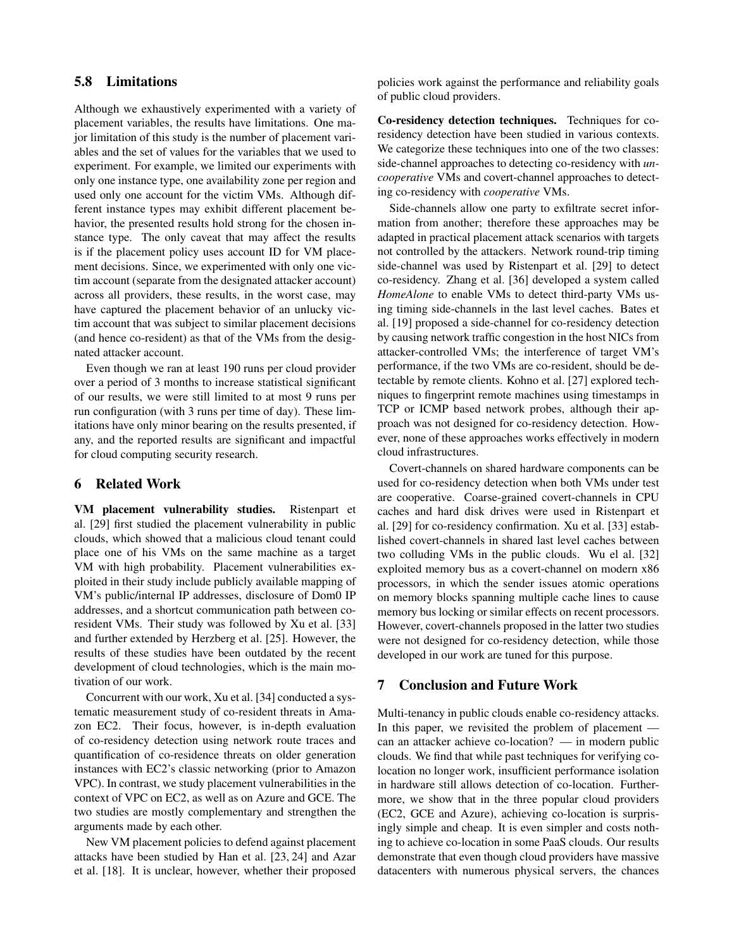## 5.8 Limitations

Although we exhaustively experimented with a variety of placement variables, the results have limitations. One major limitation of this study is the number of placement variables and the set of values for the variables that we used to experiment. For example, we limited our experiments with only one instance type, one availability zone per region and used only one account for the victim VMs. Although different instance types may exhibit different placement behavior, the presented results hold strong for the chosen instance type. The only caveat that may affect the results is if the placement policy uses account ID for VM placement decisions. Since, we experimented with only one victim account (separate from the designated attacker account) across all providers, these results, in the worst case, may have captured the placement behavior of an unlucky victim account that was subject to similar placement decisions (and hence co-resident) as that of the VMs from the designated attacker account.

Even though we ran at least 190 runs per cloud provider over a period of 3 months to increase statistical significant of our results, we were still limited to at most 9 runs per run configuration (with 3 runs per time of day). These limitations have only minor bearing on the results presented, if any, and the reported results are significant and impactful for cloud computing security research.

#### 6 Related Work

VM placement vulnerability studies. Ristenpart et al. [29] first studied the placement vulnerability in public clouds, which showed that a malicious cloud tenant could place one of his VMs on the same machine as a target VM with high probability. Placement vulnerabilities exploited in their study include publicly available mapping of VM's public/internal IP addresses, disclosure of Dom0 IP addresses, and a shortcut communication path between coresident VMs. Their study was followed by Xu et al. [33] and further extended by Herzberg et al. [25]. However, the results of these studies have been outdated by the recent development of cloud technologies, which is the main motivation of our work.

Concurrent with our work, Xu et al. [34] conducted a systematic measurement study of co-resident threats in Amazon EC2. Their focus, however, is in-depth evaluation of co-residency detection using network route traces and quantification of co-residence threats on older generation instances with EC2's classic networking (prior to Amazon VPC). In contrast, we study placement vulnerabilities in the context of VPC on EC2, as well as on Azure and GCE. The two studies are mostly complementary and strengthen the arguments made by each other.

New VM placement policies to defend against placement attacks have been studied by Han et al. [23, 24] and Azar et al. [18]. It is unclear, however, whether their proposed policies work against the performance and reliability goals of public cloud providers.

Co-residency detection techniques. Techniques for coresidency detection have been studied in various contexts. We categorize these techniques into one of the two classes: side-channel approaches to detecting co-residency with *uncooperative* VMs and covert-channel approaches to detecting co-residency with *cooperative* VMs.

Side-channels allow one party to exfiltrate secret information from another; therefore these approaches may be adapted in practical placement attack scenarios with targets not controlled by the attackers. Network round-trip timing side-channel was used by Ristenpart et al. [29] to detect co-residency. Zhang et al. [36] developed a system called *HomeAlone* to enable VMs to detect third-party VMs using timing side-channels in the last level caches. Bates et al. [19] proposed a side-channel for co-residency detection by causing network traffic congestion in the host NICs from attacker-controlled VMs; the interference of target VM's performance, if the two VMs are co-resident, should be detectable by remote clients. Kohno et al. [27] explored techniques to fingerprint remote machines using timestamps in TCP or ICMP based network probes, although their approach was not designed for co-residency detection. However, none of these approaches works effectively in modern cloud infrastructures.

Covert-channels on shared hardware components can be used for co-residency detection when both VMs under test are cooperative. Coarse-grained covert-channels in CPU caches and hard disk drives were used in Ristenpart et al. [29] for co-residency confirmation. Xu et al. [33] established covert-channels in shared last level caches between two colluding VMs in the public clouds. Wu el al. [32] exploited memory bus as a covert-channel on modern x86 processors, in which the sender issues atomic operations on memory blocks spanning multiple cache lines to cause memory bus locking or similar effects on recent processors. However, covert-channels proposed in the latter two studies were not designed for co-residency detection, while those developed in our work are tuned for this purpose.

#### 7 Conclusion and Future Work

Multi-tenancy in public clouds enable co-residency attacks. In this paper, we revisited the problem of placement can an attacker achieve co-location? — in modern public clouds. We find that while past techniques for verifying colocation no longer work, insufficient performance isolation in hardware still allows detection of co-location. Furthermore, we show that in the three popular cloud providers (EC2, GCE and Azure), achieving co-location is surprisingly simple and cheap. It is even simpler and costs nothing to achieve co-location in some PaaS clouds. Our results demonstrate that even though cloud providers have massive datacenters with numerous physical servers, the chances